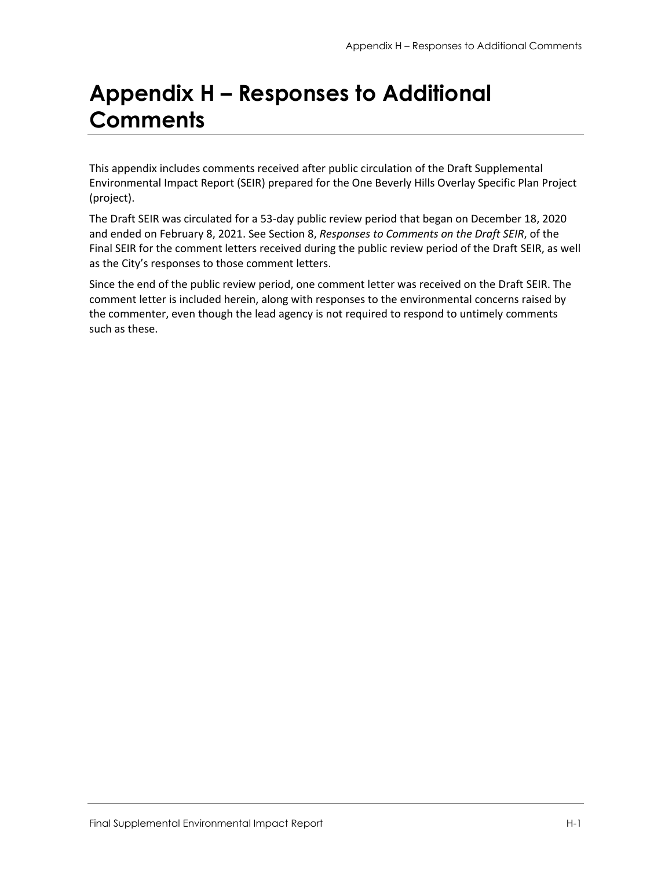# **Appendix H – Responses to Additional Comments**

This appendix includes comments received after public circulation of the Draft Supplemental Environmental Impact Report (SEIR) prepared for the One Beverly Hills Overlay Specific Plan Project (project).

The Draft SEIR was circulated for a 53-day public review period that began on December 18, 2020 and ended on February 8, 2021. See Section 8, *Responses to Comments on the Draft SEIR*, of the Final SEIR for the comment letters received during the public review period of the Draft SEIR, as well as the City's responses to those comment letters.

Since the end of the public review period, one comment letter was received on the Draft SEIR. The comment letter is included herein, along with responses to the environmental concerns raised by the commenter, even though the lead agency is not required to respond to untimely comments such as these.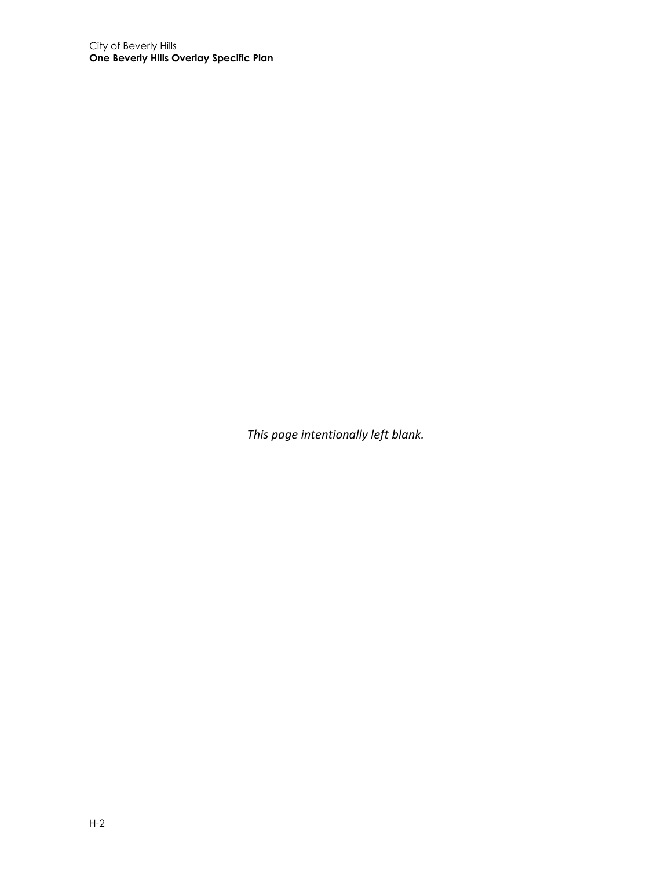*This page intentionally left blank.*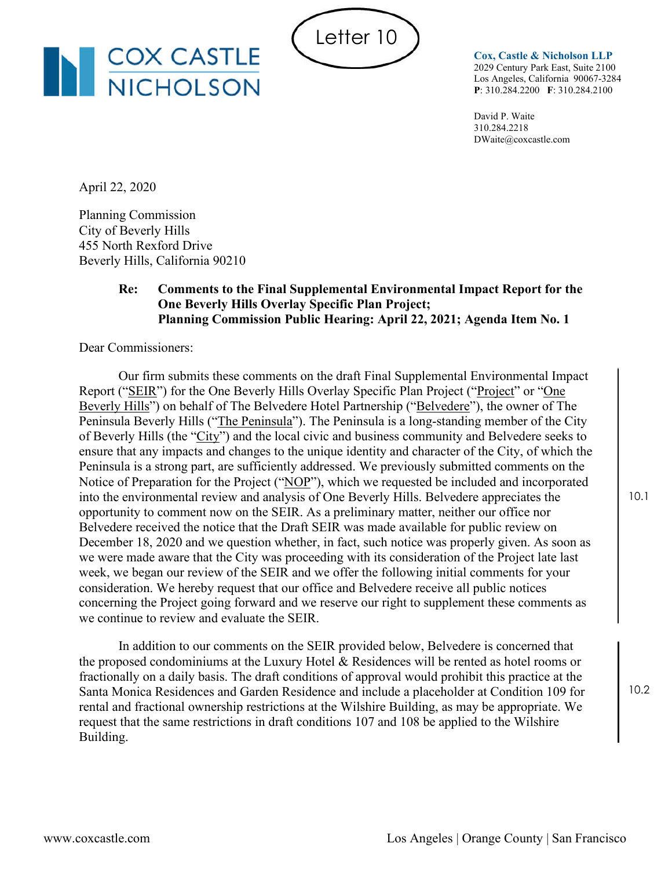



#### **Cox, Castle & Nicholson LLP**

2029 Century Park East, Suite 2100 Los Angeles, California 90067-3284 **P**: 310.284.2200 **F**: 310.284.2100

David P. Waite 310.284.2218 DWaite@coxcastle.com

April 22, 2020

Planning Commission City of Beverly Hills 455 North Rexford Drive Beverly Hills, California 90210

#### **Re: Comments to the Final Supplemental Environmental Impact Report for the One Beverly Hills Overlay Specific Plan Project; Planning Commission Public Hearing: April 22, 2021; Agenda Item No. 1**

Dear Commissioners:

Our firm submits these comments on the draft Final Supplemental Environmental Impact Report ("SEIR") for the One Beverly Hills Overlay Specific Plan Project ("Project" or "One Beverly Hills") on behalf of The Belvedere Hotel Partnership ("Belvedere"), the owner of The Peninsula Beverly Hills ("The Peninsula"). The Peninsula is a long-standing member of the City of Beverly Hills (the "City") and the local civic and business community and Belvedere seeks to ensure that any impacts and changes to the unique identity and character of the City, of which the Peninsula is a strong part, are sufficiently addressed. We previously submitted comments on the Notice of Preparation for the Project ("NOP"), which we requested be included and incorporated into the environmental review and analysis of One Beverly Hills. Belvedere appreciates the opportunity to comment now on the SEIR. As a preliminary matter, neither our office nor Belvedere received the notice that the Draft SEIR was made available for public review on December 18, 2020 and we question whether, in fact, such notice was properly given. As soon as we were made aware that the City was proceeding with its consideration of the Project late last week, we began our review of the SEIR and we offer the following initial comments for your consideration. We hereby request that our office and Belvedere receive all public notices concerning the Project going forward and we reserve our right to supplement these comments as we continue to review and evaluate the SEIR.

In addition to our comments on the SEIR provided below, Belvedere is concerned that the proposed condominiums at the Luxury Hotel & Residences will be rented as hotel rooms or fractionally on a daily basis. The draft conditions of approval would prohibit this practice at the Santa Monica Residences and Garden Residence and include a placeholder at Condition 109 for rental and fractional ownership restrictions at the Wilshire Building, as may be appropriate. We request that the same restrictions in draft conditions 107 and 108 be applied to the Wilshire Building.

10.1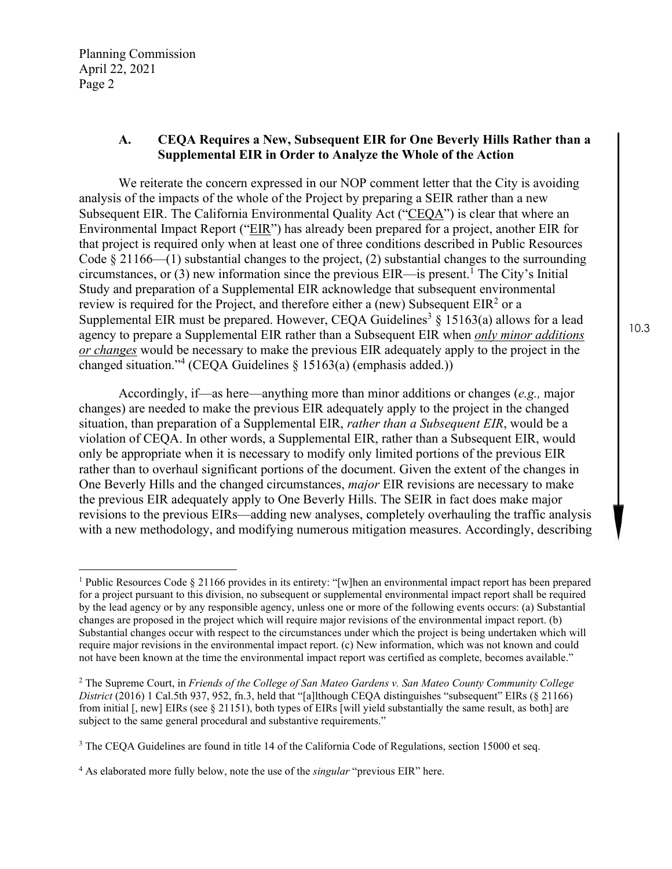#### **A. CEQA Requires a New, Subsequent EIR for One Beverly Hills Rather than a Supplemental EIR in Order to Analyze the Whole of the Action**

We reiterate the concern expressed in our NOP comment letter that the City is avoiding analysis of the impacts of the whole of the Project by preparing a SEIR rather than a new Subsequent EIR. The California Environmental Quality Act ("CEQA") is clear that where an Environmental Impact Report ("EIR") has already been prepared for a project, another EIR for that project is required only when at least one of three conditions described in Public Resources Code  $\S 21166-(1)$  substantial changes to the project, (2) substantial changes to the surrounding circumstances, or  $(3)$  new information since the previous EIR—is present.<sup>1</sup> The City's Initial Study and preparation of a Supplemental EIR acknowledge that subsequent environmental review is required for the Project, and therefore either a (new) Subsequent  $EIR<sup>2</sup>$  or a Supplemental EIR must be prepared. However, CEQA Guidelines<sup>3</sup>  $\S$  15163(a) allows for a lead agency to prepare a Supplemental EIR rather than a Subsequent EIR when *only minor additions or changes* would be necessary to make the previous EIR adequately apply to the project in the changed situation."<sup>4</sup> (CEQA Guidelines  $\S 15163(a)$  (emphasis added.))

Accordingly, if—as here—anything more than minor additions or changes (*e.g.,* major changes) are needed to make the previous EIR adequately apply to the project in the changed situation, than preparation of a Supplemental EIR, *rather than a Subsequent EIR*, would be a violation of CEQA. In other words, a Supplemental EIR, rather than a Subsequent EIR, would only be appropriate when it is necessary to modify only limited portions of the previous EIR rather than to overhaul significant portions of the document. Given the extent of the changes in One Beverly Hills and the changed circumstances, *major* EIR revisions are necessary to make the previous EIR adequately apply to One Beverly Hills. The SEIR in fact does make major revisions to the previous EIRs—adding new analyses, completely overhauling the traffic analysis with a new methodology, and modifying numerous mitigation measures. Accordingly, describing

<sup>&</sup>lt;sup>1</sup> Public Resources Code § 21166 provides in its entirety: "[w]hen an environmental impact report has been prepared for a project pursuant to this division, no subsequent or supplemental environmental impact report shall be required by the lead agency or by any responsible agency, unless one or more of the following events occurs: (a) Substantial changes are proposed in the project which will require major revisions of the environmental impact report. (b) Substantial changes occur with respect to the circumstances under which the project is being undertaken which will require major revisions in the environmental impact report. (c) New information, which was not known and could not have been known at the time the environmental impact report was certified as complete, becomes available."

<sup>2</sup> The Supreme Court, in *Friends of the College of San Mateo Gardens v. San Mateo County Community College District* (2016) 1 Cal.5th 937, 952, fn.3, held that "[a]lthough CEQA distinguishes "subsequent" EIRs (§ 21166) from initial [, new] EIRs (see § 21151), both types of EIRs [will yield substantially the same result, as both] are subject to the same general procedural and substantive requirements."

<sup>&</sup>lt;sup>3</sup> The CEQA Guidelines are found in title 14 of the California Code of Regulations, section 15000 et seq.

<sup>&</sup>lt;sup>4</sup> As elaborated more fully below, note the use of the *singular* "previous EIR" here.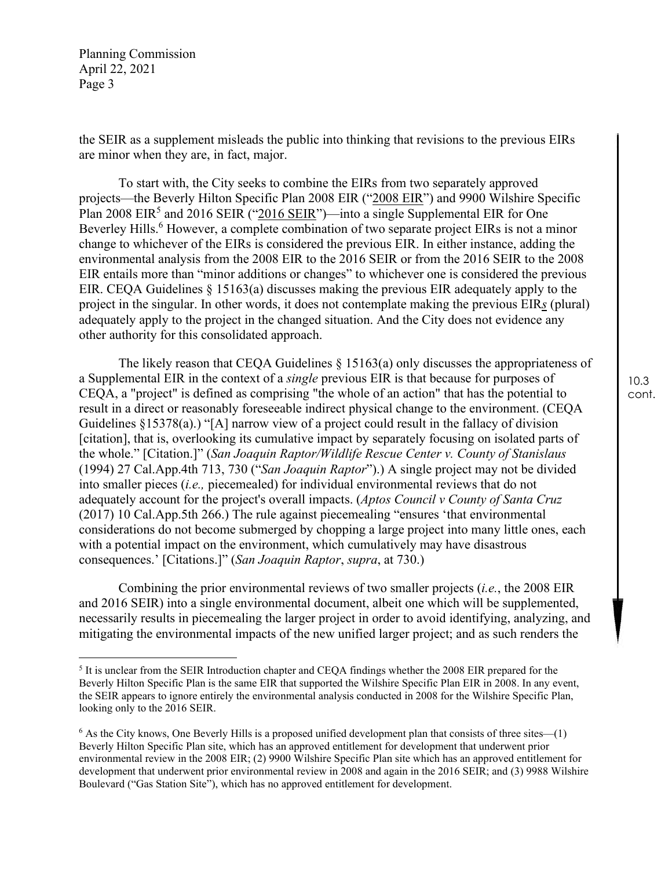the SEIR as a supplement misleads the public into thinking that revisions to the previous EIRs are minor when they are, in fact, major.

To start with, the City seeks to combine the EIRs from two separately approved projects—the Beverly Hilton Specific Plan 2008 EIR ("2008 EIR") and 9900 Wilshire Specific Plan 2008 EIR<sup>5</sup> and 2016 SEIR ("2016 SEIR")—into a single Supplemental EIR for One Beverley Hills.<sup>6</sup> However, a complete combination of two separate project EIRs is not a minor change to whichever of the EIRs is considered the previous EIR. In either instance, adding the environmental analysis from the 2008 EIR to the 2016 SEIR or from the 2016 SEIR to the 2008 EIR entails more than "minor additions or changes" to whichever one is considered the previous EIR. CEQA Guidelines § 15163(a) discusses making the previous EIR adequately apply to the project in the singular. In other words, it does not contemplate making the previous EIR*s* (plural) adequately apply to the project in the changed situation. And the City does not evidence any other authority for this consolidated approach.

The likely reason that CEOA Guidelines  $\S$  15163(a) only discusses the appropriateness of a Supplemental EIR in the context of a *single* previous EIR is that because for purposes of CEQA, a "project" is defined as comprising "the whole of an action" that has the potential to result in a direct or reasonably foreseeable indirect physical change to the environment. (CEQA Guidelines §15378(a).) "[A] narrow view of a project could result in the fallacy of division [citation], that is, overlooking its cumulative impact by separately focusing on isolated parts of the whole." [Citation.]" (*San Joaquin Raptor/Wildlife Rescue Center v. County of Stanislaus* (1994) 27 Cal.App.4th 713, 730 ("*San Joaquin Raptor*").) A single project may not be divided into smaller pieces (*i.e.,* piecemealed) for individual environmental reviews that do not adequately account for the project's overall impacts. (*Aptos Council v County of Santa Cruz* (2017) 10 Cal.App.5th 266.) The rule against piecemealing "ensures 'that environmental considerations do not become submerged by chopping a large project into many little ones, each with a potential impact on the environment, which cumulatively may have disastrous consequences.' [Citations.]" (*San Joaquin Raptor*, *supra*, at 730.)

Combining the prior environmental reviews of two smaller projects (*i.e.*, the 2008 EIR and 2016 SEIR) into a single environmental document, albeit one which will be supplemented, necessarily results in piecemealing the larger project in order to avoid identifying, analyzing, and mitigating the environmental impacts of the new unified larger project; and as such renders the

10.3 cont.

<sup>&</sup>lt;sup>5</sup> It is unclear from the SEIR Introduction chapter and CEQA findings whether the 2008 EIR prepared for the Beverly Hilton Specific Plan is the same EIR that supported the Wilshire Specific Plan EIR in 2008. In any event, the SEIR appears to ignore entirely the environmental analysis conducted in 2008 for the Wilshire Specific Plan, looking only to the 2016 SEIR.

 $6$  As the City knows, One Beverly Hills is a proposed unified development plan that consists of three sites— $(1)$ Beverly Hilton Specific Plan site, which has an approved entitlement for development that underwent prior environmental review in the 2008 EIR; (2) 9900 Wilshire Specific Plan site which has an approved entitlement for development that underwent prior environmental review in 2008 and again in the 2016 SEIR; and (3) 9988 Wilshire Boulevard ("Gas Station Site"), which has no approved entitlement for development.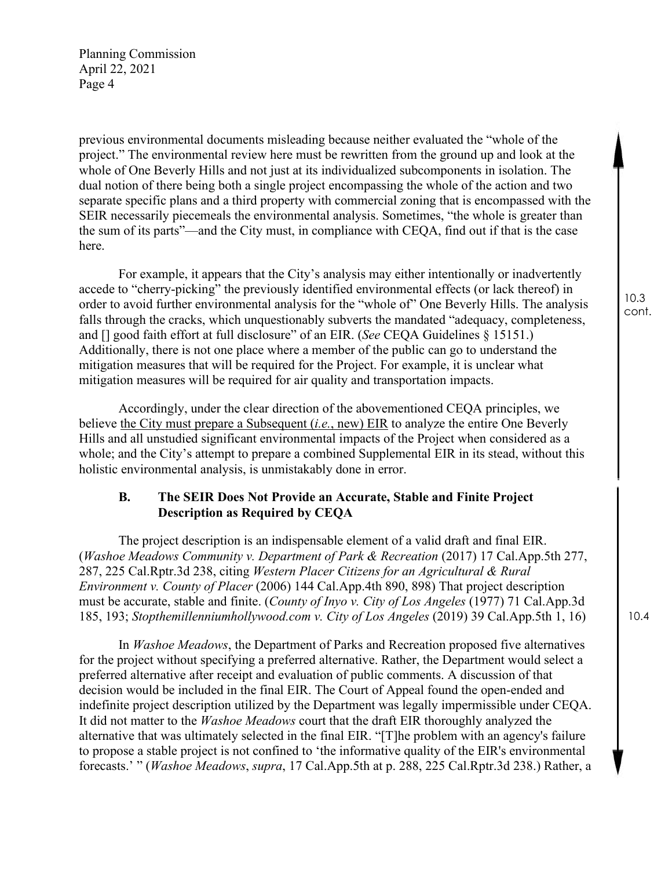previous environmental documents misleading because neither evaluated the "whole of the project." The environmental review here must be rewritten from the ground up and look at the whole of One Beverly Hills and not just at its individualized subcomponents in isolation. The dual notion of there being both a single project encompassing the whole of the action and two separate specific plans and a third property with commercial zoning that is encompassed with the SEIR necessarily piecemeals the environmental analysis. Sometimes, "the whole is greater than the sum of its parts"—and the City must, in compliance with CEQA, find out if that is the case here.

For example, it appears that the City's analysis may either intentionally or inadvertently accede to "cherry-picking" the previously identified environmental effects (or lack thereof) in order to avoid further environmental analysis for the "whole of" One Beverly Hills. The analysis falls through the cracks, which unquestionably subverts the mandated "adequacy, completeness, and [] good faith effort at full disclosure" of an EIR. (*See* CEQA Guidelines § 15151.) Additionally, there is not one place where a member of the public can go to understand the mitigation measures that will be required for the Project. For example, it is unclear what mitigation measures will be required for air quality and transportation impacts.

Accordingly, under the clear direction of the abovementioned CEQA principles, we believe the City must prepare a Subsequent (*i.e.*, new) EIR to analyze the entire One Beverly Hills and all unstudied significant environmental impacts of the Project when considered as a whole; and the City's attempt to prepare a combined Supplemental EIR in its stead, without this holistic environmental analysis, is unmistakably done in error.

#### **B. The SEIR Does Not Provide an Accurate, Stable and Finite Project Description as Required by CEQA**

The project description is an indispensable element of a valid draft and final EIR. (*Washoe Meadows Community v. Department of Park & Recreation* (2017) 17 Cal.App.5th 277, 287, 225 Cal.Rptr.3d 238, citing *Western Placer Citizens for an Agricultural & Rural Environment v. County of Placer* (2006) 144 Cal.App.4th 890, 898) That project description must be accurate, stable and finite. (*County of Inyo v. City of Los Angeles* (1977) 71 Cal.App.3d 185, 193; *Stopthemillenniumhollywood.com v. City of Los Angeles* (2019) 39 Cal.App.5th 1, 16)

In *Washoe Meadows*, the Department of Parks and Recreation proposed five alternatives for the project without specifying a preferred alternative. Rather, the Department would select a preferred alternative after receipt and evaluation of public comments. A discussion of that decision would be included in the final EIR. The Court of Appeal found the open-ended and indefinite project description utilized by the Department was legally impermissible under CEQA. It did not matter to the *Washoe Meadows* court that the draft EIR thoroughly analyzed the alternative that was ultimately selected in the final EIR. "[T]he problem with an agency's failure to propose a stable project is not confined to 'the informative quality of the EIR's environmental forecasts.' " (*Washoe Meadows*, *supra*, 17 Cal.App.5th at p. 288, 225 Cal.Rptr.3d 238.) Rather, a

10.3 cont.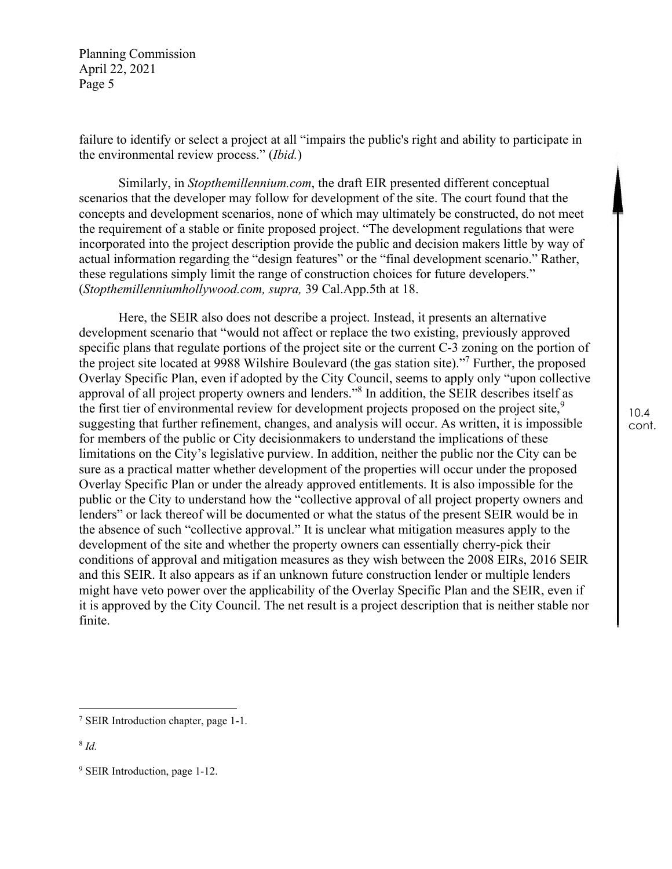failure to identify or select a project at all "impairs the public's right and ability to participate in the environmental review process." (*Ibid.*)

Similarly, in *Stopthemillennium.com*, the draft EIR presented different conceptual scenarios that the developer may follow for development of the site. The court found that the concepts and development scenarios, none of which may ultimately be constructed, do not meet the requirement of a stable or finite proposed project. "The development regulations that were incorporated into the project description provide the public and decision makers little by way of actual information regarding the "design features" or the "final development scenario." Rather, these regulations simply limit the range of construction choices for future developers." (*Stopthemillenniumhollywood.com, supra,* 39 Cal.App.5th at 18.

Here, the SEIR also does not describe a project. Instead, it presents an alternative development scenario that "would not affect or replace the two existing, previously approved specific plans that regulate portions of the project site or the current C-3 zoning on the portion of the project site located at 9988 Wilshire Boulevard (the gas station site)."<sup>7</sup> Further, the proposed Overlay Specific Plan, even if adopted by the City Council, seems to apply only "upon collective approval of all project property owners and lenders."8 In addition, the SEIR describes itself as the first tier of environmental review for development projects proposed on the project site,  $9$ suggesting that further refinement, changes, and analysis will occur. As written, it is impossible for members of the public or City decisionmakers to understand the implications of these limitations on the City's legislative purview. In addition, neither the public nor the City can be sure as a practical matter whether development of the properties will occur under the proposed Overlay Specific Plan or under the already approved entitlements. It is also impossible for the public or the City to understand how the "collective approval of all project property owners and lenders" or lack thereof will be documented or what the status of the present SEIR would be in the absence of such "collective approval." It is unclear what mitigation measures apply to the development of the site and whether the property owners can essentially cherry-pick their conditions of approval and mitigation measures as they wish between the 2008 EIRs, 2016 SEIR and this SEIR. It also appears as if an unknown future construction lender or multiple lenders might have veto power over the applicability of the Overlay Specific Plan and the SEIR, even if it is approved by the City Council. The net result is a project description that is neither stable nor finite.

10.4 cont.

<sup>7</sup> SEIR Introduction chapter, page 1-1.

<sup>8</sup> *Id.* 

<sup>&</sup>lt;sup>9</sup> SEIR Introduction, page 1-12.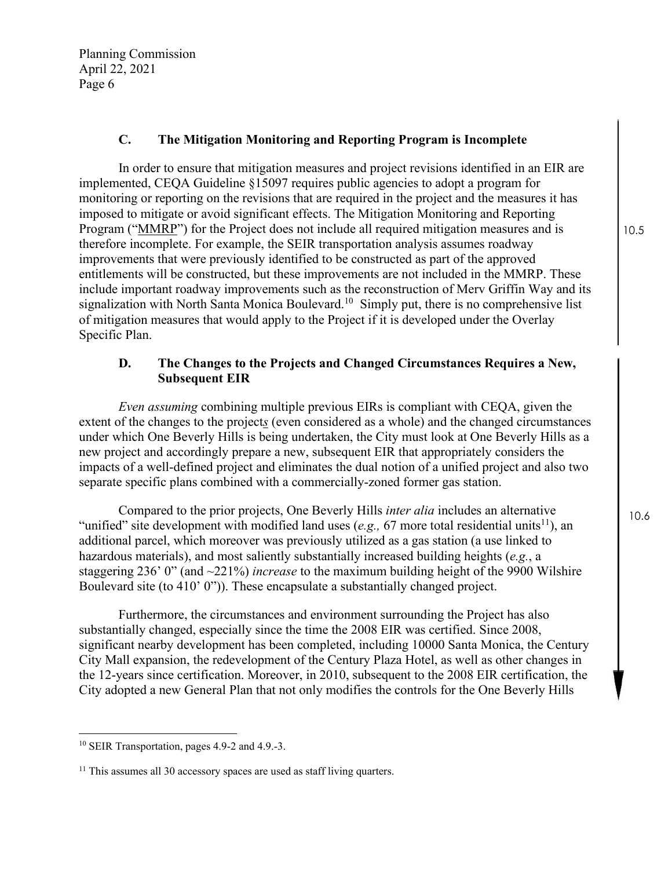#### **C. The Mitigation Monitoring and Reporting Program is Incomplete**

In order to ensure that mitigation measures and project revisions identified in an EIR are implemented, CEQA Guideline §15097 requires public agencies to adopt a program for monitoring or reporting on the revisions that are required in the project and the measures it has imposed to mitigate or avoid significant effects. The Mitigation Monitoring and Reporting Program ("MMRP") for the Project does not include all required mitigation measures and is therefore incomplete. For example, the SEIR transportation analysis assumes roadway improvements that were previously identified to be constructed as part of the approved entitlements will be constructed, but these improvements are not included in the MMRP. These include important roadway improvements such as the reconstruction of Merv Griffin Way and its signalization with North Santa Monica Boulevard.<sup>10</sup> Simply put, there is no comprehensive list of mitigation measures that would apply to the Project if it is developed under the Overlay Specific Plan.

#### **D. The Changes to the Projects and Changed Circumstances Requires a New, Subsequent EIR**

*Even assuming* combining multiple previous EIRs is compliant with CEQA, given the extent of the changes to the project*s* (even considered as a whole) and the changed circumstances under which One Beverly Hills is being undertaken, the City must look at One Beverly Hills as a new project and accordingly prepare a new, subsequent EIR that appropriately considers the impacts of a well-defined project and eliminates the dual notion of a unified project and also two separate specific plans combined with a commercially-zoned former gas station.

Compared to the prior projects, One Beverly Hills *inter alia* includes an alternative "unified" site development with modified land uses (*e.g.*, 67 more total residential units<sup>11</sup>), an additional parcel, which moreover was previously utilized as a gas station (a use linked to hazardous materials), and most saliently substantially increased building heights (*e.g.*, a staggering 236' 0" (and ~221%) *increase* to the maximum building height of the 9900 Wilshire Boulevard site (to 410' 0")). These encapsulate a substantially changed project.

Furthermore, the circumstances and environment surrounding the Project has also substantially changed, especially since the time the 2008 EIR was certified. Since 2008, significant nearby development has been completed, including 10000 Santa Monica, the Century City Mall expansion, the redevelopment of the Century Plaza Hotel, as well as other changes in the 12-years since certification. Moreover, in 2010, subsequent to the 2008 EIR certification, the City adopted a new General Plan that not only modifies the controls for the One Beverly Hills

<sup>10</sup> SEIR Transportation, pages 4.9-2 and 4.9.-3.

 $11$  This assumes all 30 accessory spaces are used as staff living quarters.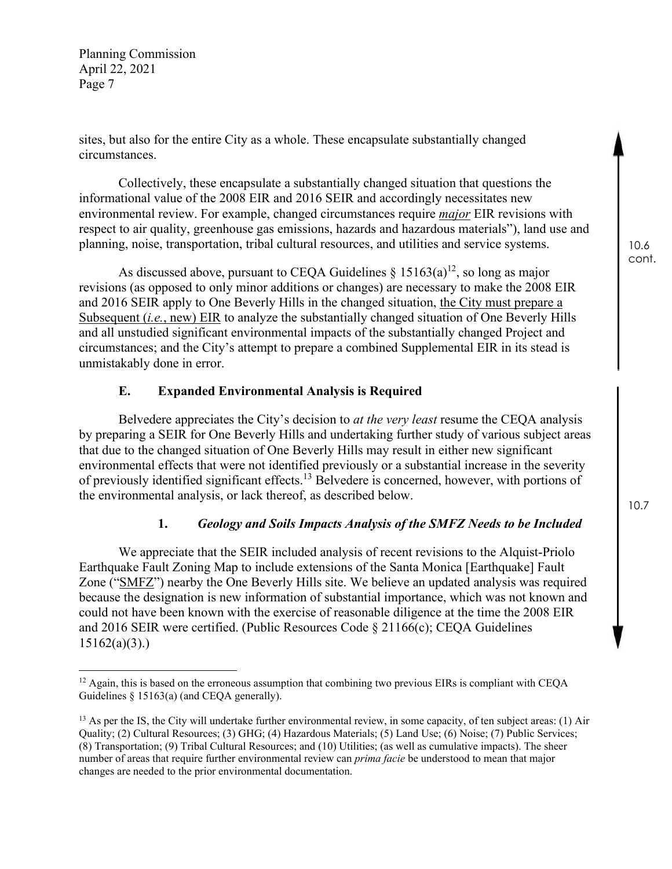sites, but also for the entire City as a whole. These encapsulate substantially changed circumstances.

Collectively, these encapsulate a substantially changed situation that questions the informational value of the 2008 EIR and 2016 SEIR and accordingly necessitates new environmental review. For example, changed circumstances require *major* EIR revisions with respect to air quality, greenhouse gas emissions, hazards and hazardous materials"), land use and planning, noise, transportation, tribal cultural resources, and utilities and service systems.

As discussed above, pursuant to CEQA Guidelines  $\S 15163(a)^{12}$ , so long as major revisions (as opposed to only minor additions or changes) are necessary to make the 2008 EIR and 2016 SEIR apply to One Beverly Hills in the changed situation, the City must prepare a Subsequent (*i.e.*, new) EIR to analyze the substantially changed situation of One Beverly Hills and all unstudied significant environmental impacts of the substantially changed Project and circumstances; and the City's attempt to prepare a combined Supplemental EIR in its stead is unmistakably done in error.

#### **E. Expanded Environmental Analysis is Required**

Belvedere appreciates the City's decision to *at the very least* resume the CEQA analysis by preparing a SEIR for One Beverly Hills and undertaking further study of various subject areas that due to the changed situation of One Beverly Hills may result in either new significant environmental effects that were not identified previously or a substantial increase in the severity of previously identified significant effects.13 Belvedere is concerned, however, with portions of the environmental analysis, or lack thereof, as described below.

#### **1.** *Geology and Soils Impacts Analysis of the SMFZ Needs to be Included*

We appreciate that the SEIR included analysis of recent revisions to the Alquist-Priolo Earthquake Fault Zoning Map to include extensions of the Santa Monica [Earthquake] Fault Zone ("SMFZ") nearby the One Beverly Hills site. We believe an updated analysis was required because the designation is new information of substantial importance, which was not known and could not have been known with the exercise of reasonable diligence at the time the 2008 EIR and 2016 SEIR were certified. (Public Resources Code § 21166(c); CEQA Guidelines  $15162(a)(3)$ .)

10.6 cont.

<sup>&</sup>lt;sup>12</sup> Again, this is based on the erroneous assumption that combining two previous EIRs is compliant with CEQA Guidelines § 15163(a) (and CEQA generally).

 $13$  As per the IS, the City will undertake further environmental review, in some capacity, of ten subject areas: (1) Air Quality; (2) Cultural Resources; (3) GHG; (4) Hazardous Materials; (5) Land Use; (6) Noise; (7) Public Services; (8) Transportation; (9) Tribal Cultural Resources; and (10) Utilities; (as well as cumulative impacts). The sheer number of areas that require further environmental review can *prima facie* be understood to mean that major changes are needed to the prior environmental documentation.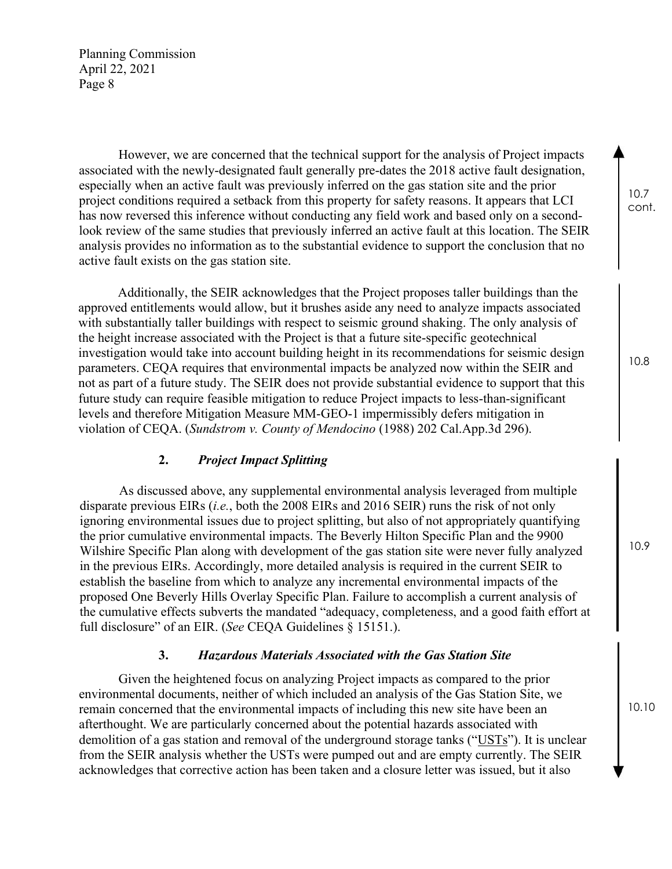However, we are concerned that the technical support for the analysis of Project impacts associated with the newly-designated fault generally pre-dates the 2018 active fault designation, especially when an active fault was previously inferred on the gas station site and the prior project conditions required a setback from this property for safety reasons. It appears that LCI has now reversed this inference without conducting any field work and based only on a secondlook review of the same studies that previously inferred an active fault at this location. The SEIR analysis provides no information as to the substantial evidence to support the conclusion that no active fault exists on the gas station site.

Additionally, the SEIR acknowledges that the Project proposes taller buildings than the approved entitlements would allow, but it brushes aside any need to analyze impacts associated with substantially taller buildings with respect to seismic ground shaking. The only analysis of the height increase associated with the Project is that a future site-specific geotechnical investigation would take into account building height in its recommendations for seismic design parameters. CEQA requires that environmental impacts be analyzed now within the SEIR and not as part of a future study. The SEIR does not provide substantial evidence to support that this future study can require feasible mitigation to reduce Project impacts to less-than-significant levels and therefore Mitigation Measure MM-GEO-1 impermissibly defers mitigation in violation of CEQA. (*Sundstrom v. County of Mendocino* (1988) 202 Cal.App.3d 296).

#### **2.** *Project Impact Splitting*

As discussed above, any supplemental environmental analysis leveraged from multiple disparate previous EIRs (*i.e.*, both the 2008 EIRs and 2016 SEIR) runs the risk of not only ignoring environmental issues due to project splitting, but also of not appropriately quantifying the prior cumulative environmental impacts. The Beverly Hilton Specific Plan and the 9900 Wilshire Specific Plan along with development of the gas station site were never fully analyzed in the previous EIRs. Accordingly, more detailed analysis is required in the current SEIR to establish the baseline from which to analyze any incremental environmental impacts of the proposed One Beverly Hills Overlay Specific Plan. Failure to accomplish a current analysis of the cumulative effects subverts the mandated "adequacy, completeness, and a good faith effort at full disclosure" of an EIR. (*See* CEQA Guidelines § 15151.).

#### **3.** *Hazardous Materials Associated with the Gas Station Site*

Given the heightened focus on analyzing Project impacts as compared to the prior environmental documents, neither of which included an analysis of the Gas Station Site, we remain concerned that the environmental impacts of including this new site have been an afterthought. We are particularly concerned about the potential hazards associated with demolition of a gas station and removal of the underground storage tanks ("USTs"). It is unclear from the SEIR analysis whether the USTs were pumped out and are empty currently. The SEIR acknowledges that corrective action has been taken and a closure letter was issued, but it also

10.7 cont.

10.8

10.9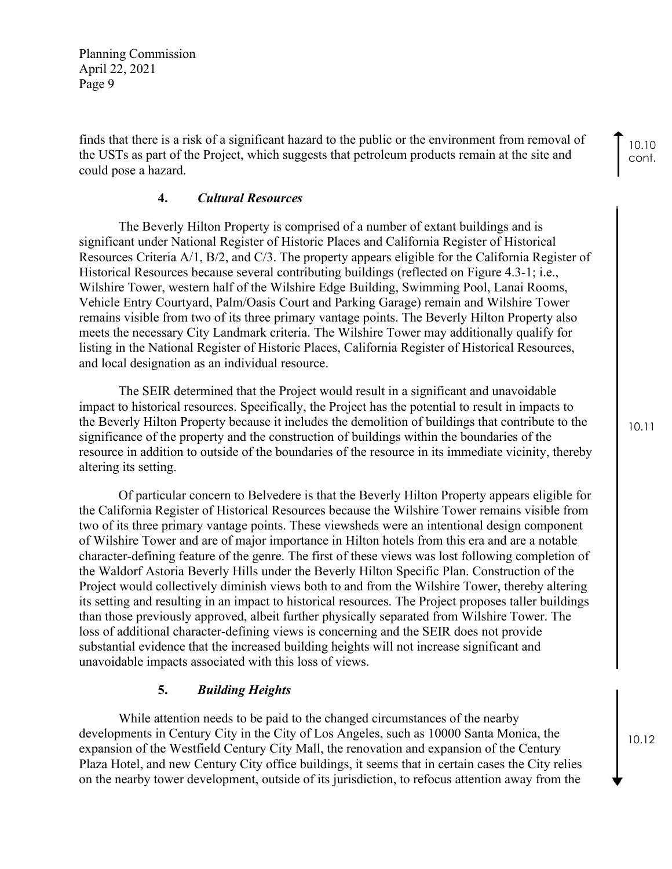finds that there is a risk of a significant hazard to the public or the environment from removal of the USTs as part of the Project, which suggests that petroleum products remain at the site and could pose a hazard.

#### **4.** *Cultural Resources*

The Beverly Hilton Property is comprised of a number of extant buildings and is significant under National Register of Historic Places and California Register of Historical Resources Criteria A/1, B/2, and C/3. The property appears eligible for the California Register of Historical Resources because several contributing buildings (reflected on Figure 4.3-1; i.e., Wilshire Tower, western half of the Wilshire Edge Building, Swimming Pool, Lanai Rooms, Vehicle Entry Courtyard, Palm/Oasis Court and Parking Garage) remain and Wilshire Tower remains visible from two of its three primary vantage points. The Beverly Hilton Property also meets the necessary City Landmark criteria. The Wilshire Tower may additionally qualify for listing in the National Register of Historic Places, California Register of Historical Resources, and local designation as an individual resource.

The SEIR determined that the Project would result in a significant and unavoidable impact to historical resources. Specifically, the Project has the potential to result in impacts to the Beverly Hilton Property because it includes the demolition of buildings that contribute to the significance of the property and the construction of buildings within the boundaries of the resource in addition to outside of the boundaries of the resource in its immediate vicinity, thereby altering its setting.

Of particular concern to Belvedere is that the Beverly Hilton Property appears eligible for the California Register of Historical Resources because the Wilshire Tower remains visible from two of its three primary vantage points. These viewsheds were an intentional design component of Wilshire Tower and are of major importance in Hilton hotels from this era and are a notable character-defining feature of the genre. The first of these views was lost following completion of the Waldorf Astoria Beverly Hills under the Beverly Hilton Specific Plan. Construction of the Project would collectively diminish views both to and from the Wilshire Tower, thereby altering its setting and resulting in an impact to historical resources. The Project proposes taller buildings than those previously approved, albeit further physically separated from Wilshire Tower. The loss of additional character-defining views is concerning and the SEIR does not provide substantial evidence that the increased building heights will not increase significant and unavoidable impacts associated with this loss of views.

#### **5.** *Building Heights*

While attention needs to be paid to the changed circumstances of the nearby developments in Century City in the City of Los Angeles, such as 10000 Santa Monica, the expansion of the Westfield Century City Mall, the renovation and expansion of the Century Plaza Hotel, and new Century City office buildings, it seems that in certain cases the City relies on the nearby tower development, outside of its jurisdiction, to refocus attention away from the

10.10 cont.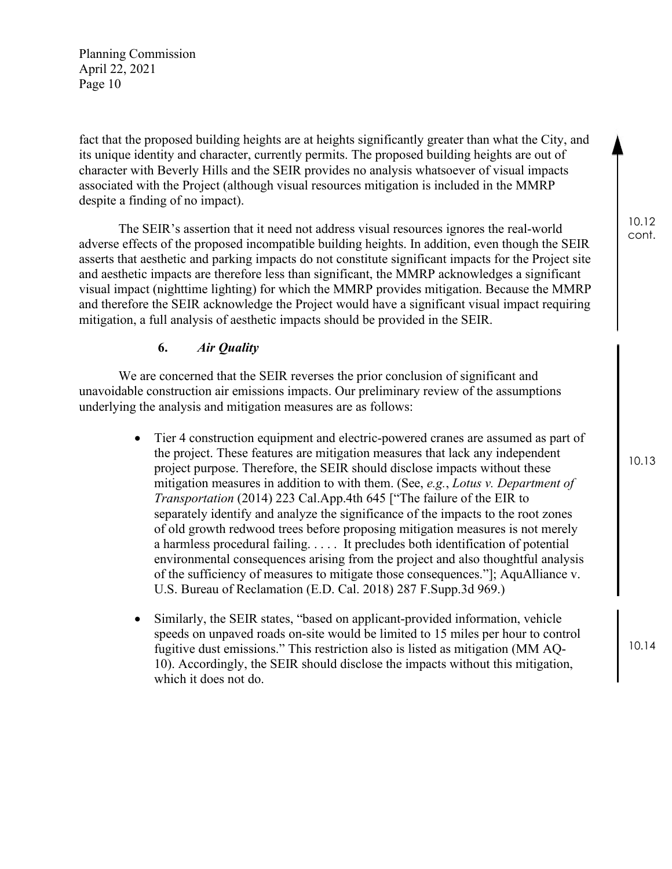fact that the proposed building heights are at heights significantly greater than what the City, and its unique identity and character, currently permits. The proposed building heights are out of character with Beverly Hills and the SEIR provides no analysis whatsoever of visual impacts associated with the Project (although visual resources mitigation is included in the MMRP despite a finding of no impact).

The SEIR's assertion that it need not address visual resources ignores the real-world adverse effects of the proposed incompatible building heights. In addition, even though the SEIR asserts that aesthetic and parking impacts do not constitute significant impacts for the Project site and aesthetic impacts are therefore less than significant, the MMRP acknowledges a significant visual impact (nighttime lighting) for which the MMRP provides mitigation. Because the MMRP and therefore the SEIR acknowledge the Project would have a significant visual impact requiring mitigation, a full analysis of aesthetic impacts should be provided in the SEIR.

#### **6.** *Air Quality*

We are concerned that the SEIR reverses the prior conclusion of significant and unavoidable construction air emissions impacts. Our preliminary review of the assumptions underlying the analysis and mitigation measures are as follows:

- Tier 4 construction equipment and electric-powered cranes are assumed as part of the project. These features are mitigation measures that lack any independent project purpose. Therefore, the SEIR should disclose impacts without these mitigation measures in addition to with them. (See, *e.g.*, *Lotus v. Department of Transportation* (2014) 223 Cal.App.4th 645 ["The failure of the EIR to separately identify and analyze the significance of the impacts to the root zones of old growth redwood trees before proposing mitigation measures is not merely a harmless procedural failing. . . . . It precludes both identification of potential environmental consequences arising from the project and also thoughtful analysis of the sufficiency of measures to mitigate those consequences."]; AquAlliance v. U.S. Bureau of Reclamation (E.D. Cal. 2018) 287 F.Supp.3d 969.)
- Similarly, the SEIR states, "based on applicant-provided information, vehicle speeds on unpaved roads on-site would be limited to 15 miles per hour to control fugitive dust emissions." This restriction also is listed as mitigation (MM AQ-10). Accordingly, the SEIR should disclose the impacts without this mitigation, which it does not do.

10.12 cont.

10.13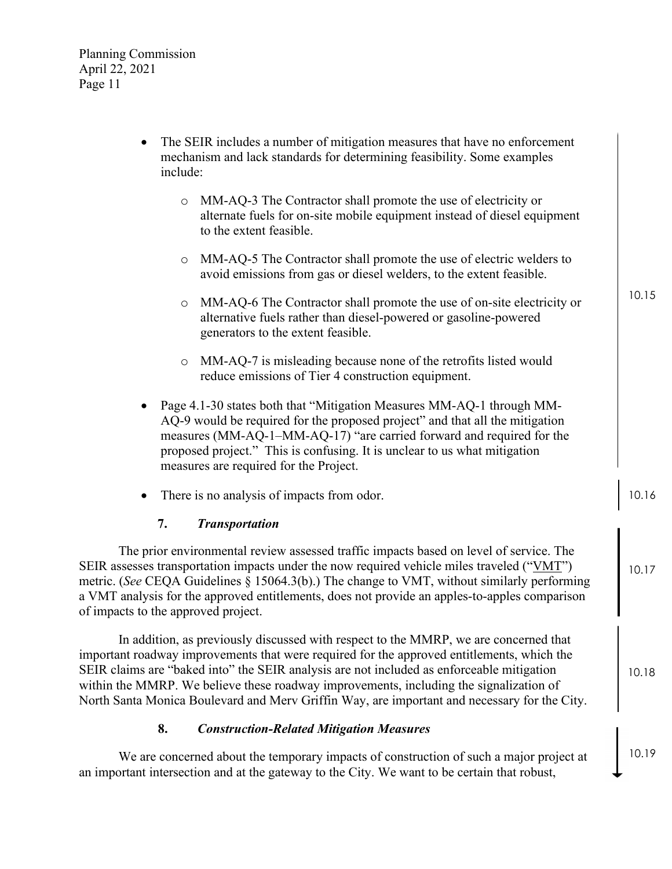- The SEIR includes a number of mitigation measures that have no enforcement mechanism and lack standards for determining feasibility. Some examples include:
	- o MM-AQ-3 The Contractor shall promote the use of electricity or alternate fuels for on-site mobile equipment instead of diesel equipment to the extent feasible.
	- o MM-AQ-5 The Contractor shall promote the use of electric welders to avoid emissions from gas or diesel welders, to the extent feasible.
	- o MM-AQ-6 The Contractor shall promote the use of on-site electricity or alternative fuels rather than diesel-powered or gasoline-powered generators to the extent feasible.
	- o MM-AQ-7 is misleading because none of the retrofits listed would reduce emissions of Tier 4 construction equipment.
- Page 4.1-30 states both that "Mitigation Measures MM-AQ-1 through MM-AQ-9 would be required for the proposed project" and that all the mitigation measures (MM-AQ-1–MM-AQ-17) "are carried forward and required for the proposed project." This is confusing. It is unclear to us what mitigation measures are required for the Project.

• There is no analysis of impacts from odor.

#### **7.** *Transportation*

The prior environmental review assessed traffic impacts based on level of service. The SEIR assesses transportation impacts under the now required vehicle miles traveled ("VMT") metric. (*See* CEQA Guidelines § 15064.3(b).) The change to VMT, without similarly performing a VMT analysis for the approved entitlements, does not provide an apples-to-apples comparison of impacts to the approved project.

In addition, as previously discussed with respect to the MMRP, we are concerned that important roadway improvements that were required for the approved entitlements, which the SEIR claims are "baked into" the SEIR analysis are not included as enforceable mitigation within the MMRP. We believe these roadway improvements, including the signalization of North Santa Monica Boulevard and Merv Griffin Way, are important and necessary for the City.

#### **8.** *Construction-Related Mitigation Measures*

We are concerned about the temporary impacts of construction of such a major project at an important intersection and at the gateway to the City. We want to be certain that robust,

10.15

10.16

10.17

10.18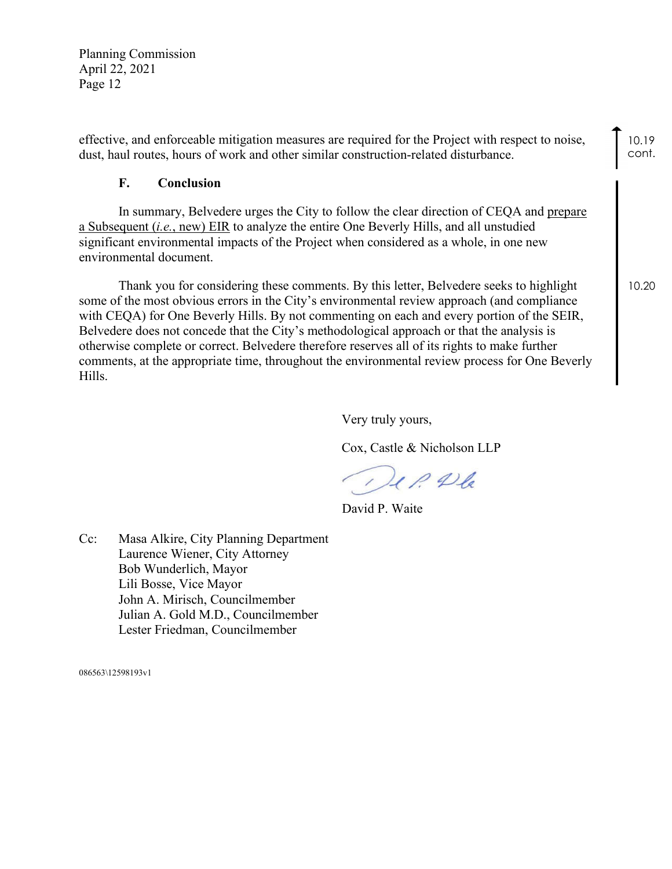effective, and enforceable mitigation measures are required for the Project with respect to noise, dust, haul routes, hours of work and other similar construction-related disturbance.

#### **F. Conclusion**

In summary, Belvedere urges the City to follow the clear direction of CEQA and prepare a Subsequent (*i.e.*, new) EIR to analyze the entire One Beverly Hills, and all unstudied significant environmental impacts of the Project when considered as a whole, in one new environmental document.

Thank you for considering these comments. By this letter, Belvedere seeks to highlight some of the most obvious errors in the City's environmental review approach (and compliance with CEQA) for One Beverly Hills. By not commenting on each and every portion of the SEIR, Belvedere does not concede that the City's methodological approach or that the analysis is otherwise complete or correct. Belvedere therefore reserves all of its rights to make further comments, at the appropriate time, throughout the environmental review process for One Beverly Hills.

Very truly yours,

Cox, Castle & Nicholson LLP

CP Dle

David P. Waite

Cc: Masa Alkire, City Planning Department Laurence Wiener, City Attorney Bob Wunderlich, Mayor Lili Bosse, Vice Mayor John A. Mirisch, Councilmember Julian A. Gold M.D., Councilmember Lester Friedman, Councilmember

086563\12598193v1

10.19 cont.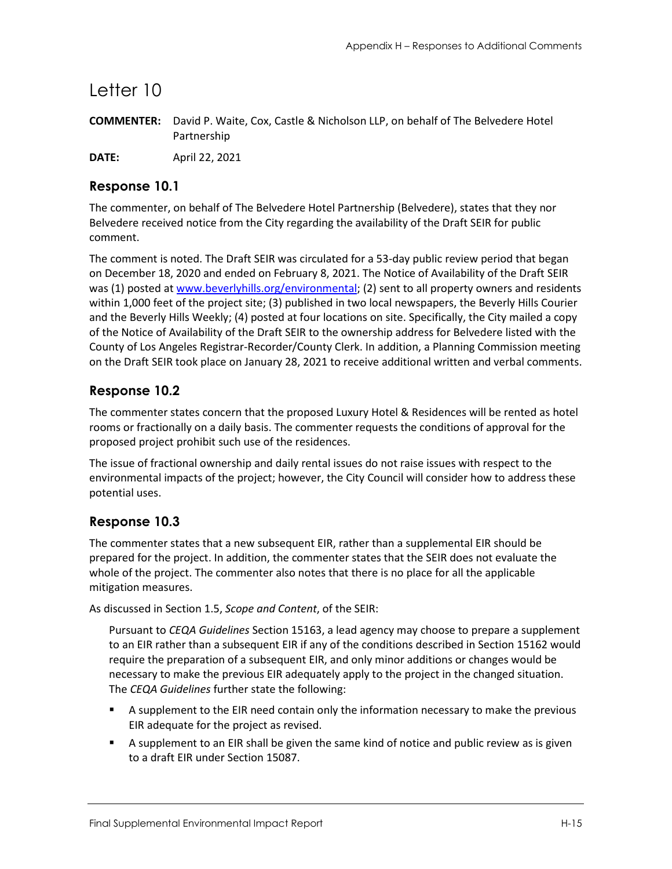## Letter 10

**COMMENTER:** David P. Waite, Cox, Castle & Nicholson LLP, on behalf of The Belvedere Hotel Partnership

**DATE:** April 22, 2021

#### **Response 10.1**

The commenter, on behalf of The Belvedere Hotel Partnership (Belvedere), states that they nor Belvedere received notice from the City regarding the availability of the Draft SEIR for public comment.

The comment is noted. The Draft SEIR was circulated for a 53-day public review period that began on December 18, 2020 and ended on February 8, 2021. The Notice of Availability of the Draft SEIR was (1) posted at [www.beverlyhills.org/environmental;](http://www.beverlyhills.org/environmental) (2) sent to all property owners and residents within 1,000 feet of the project site; (3) published in two local newspapers, the Beverly Hills Courier and the Beverly Hills Weekly; (4) posted at four locations on site. Specifically, the City mailed a copy of the Notice of Availability of the Draft SEIR to the ownership address for Belvedere listed with the County of Los Angeles Registrar-Recorder/County Clerk. In addition, a Planning Commission meeting on the Draft SEIR took place on January 28, 2021 to receive additional written and verbal comments.

## **Response 10.2**

The commenter states concern that the proposed Luxury Hotel & Residences will be rented as hotel rooms or fractionally on a daily basis. The commenter requests the conditions of approval for the proposed project prohibit such use of the residences.

The issue of fractional ownership and daily rental issues do not raise issues with respect to the environmental impacts of the project; however, the City Council will consider how to address these potential uses.

## **Response 10.3**

The commenter states that a new subsequent EIR, rather than a supplemental EIR should be prepared for the project. In addition, the commenter states that the SEIR does not evaluate the whole of the project. The commenter also notes that there is no place for all the applicable mitigation measures.

As discussed in Section 1.5, *Scope and Content*, of the SEIR:

Pursuant to *CEQA Guidelines* Section 15163, a lead agency may choose to prepare a supplement to an EIR rather than a subsequent EIR if any of the conditions described in Section 15162 would require the preparation of a subsequent EIR, and only minor additions or changes would be necessary to make the previous EIR adequately apply to the project in the changed situation. The *CEQA Guidelines* further state the following:

- **A** supplement to the EIR need contain only the information necessary to make the previous EIR adequate for the project as revised.
- A supplement to an EIR shall be given the same kind of notice and public review as is given to a draft EIR under Section 15087.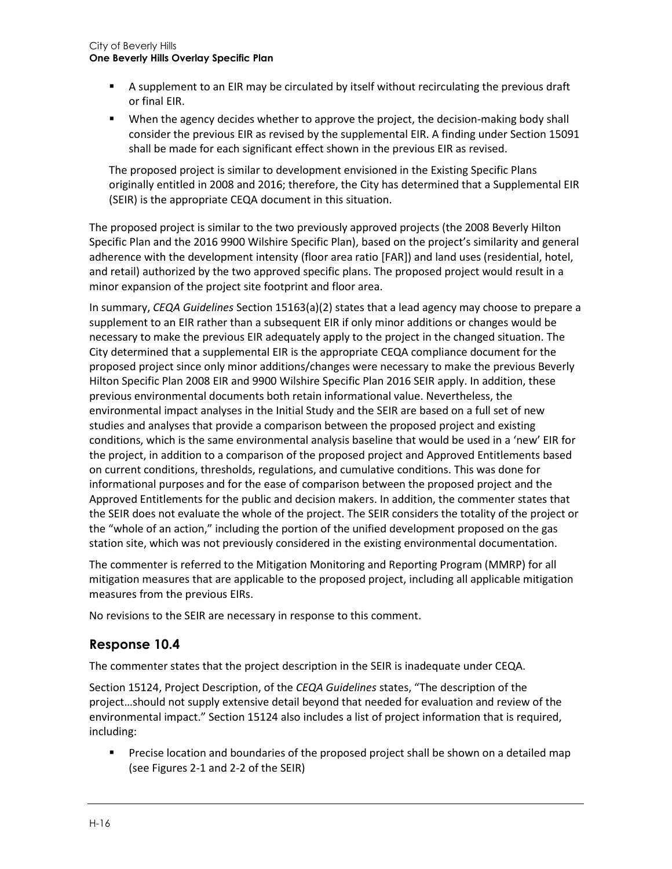- A supplement to an EIR may be circulated by itself without recirculating the previous draft or final EIR.
- When the agency decides whether to approve the project, the decision-making body shall consider the previous EIR as revised by the supplemental EIR. A finding under Section 15091 shall be made for each significant effect shown in the previous EIR as revised.

The proposed project is similar to development envisioned in the Existing Specific Plans originally entitled in 2008 and 2016; therefore, the City has determined that a Supplemental EIR (SEIR) is the appropriate CEQA document in this situation.

The proposed project is similar to the two previously approved projects (the 2008 Beverly Hilton Specific Plan and the 2016 9900 Wilshire Specific Plan), based on the project's similarity and general adherence with the development intensity (floor area ratio [FAR]) and land uses (residential, hotel, and retail) authorized by the two approved specific plans. The proposed project would result in a minor expansion of the project site footprint and floor area.

In summary, *CEQA Guidelines* Section 15163(a)(2) states that a lead agency may choose to prepare a supplement to an EIR rather than a subsequent EIR if only minor additions or changes would be necessary to make the previous EIR adequately apply to the project in the changed situation. The City determined that a supplemental EIR is the appropriate CEQA compliance document for the proposed project since only minor additions/changes were necessary to make the previous Beverly Hilton Specific Plan 2008 EIR and 9900 Wilshire Specific Plan 2016 SEIR apply. In addition, these previous environmental documents both retain informational value. Nevertheless, the environmental impact analyses in the Initial Study and the SEIR are based on a full set of new studies and analyses that provide a comparison between the proposed project and existing conditions, which is the same environmental analysis baseline that would be used in a 'new' EIR for the project, in addition to a comparison of the proposed project and Approved Entitlements based on current conditions, thresholds, regulations, and cumulative conditions. This was done for informational purposes and for the ease of comparison between the proposed project and the Approved Entitlements for the public and decision makers. In addition, the commenter states that the SEIR does not evaluate the whole of the project. The SEIR considers the totality of the project or the "whole of an action," including the portion of the unified development proposed on the gas station site, which was not previously considered in the existing environmental documentation.

The commenter is referred to the Mitigation Monitoring and Reporting Program (MMRP) for all mitigation measures that are applicable to the proposed project, including all applicable mitigation measures from the previous EIRs.

No revisions to the SEIR are necessary in response to this comment.

## **Response 10.4**

The commenter states that the project description in the SEIR is inadequate under CEQA.

Section 15124, Project Description, of the *CEQA Guidelines* states, "The description of the project…should not supply extensive detail beyond that needed for evaluation and review of the environmental impact." Section 15124 also includes a list of project information that is required, including:

**Precise location and boundaries of the proposed project shall be shown on a detailed map** (see Figures 2-1 and 2-2 of the SEIR)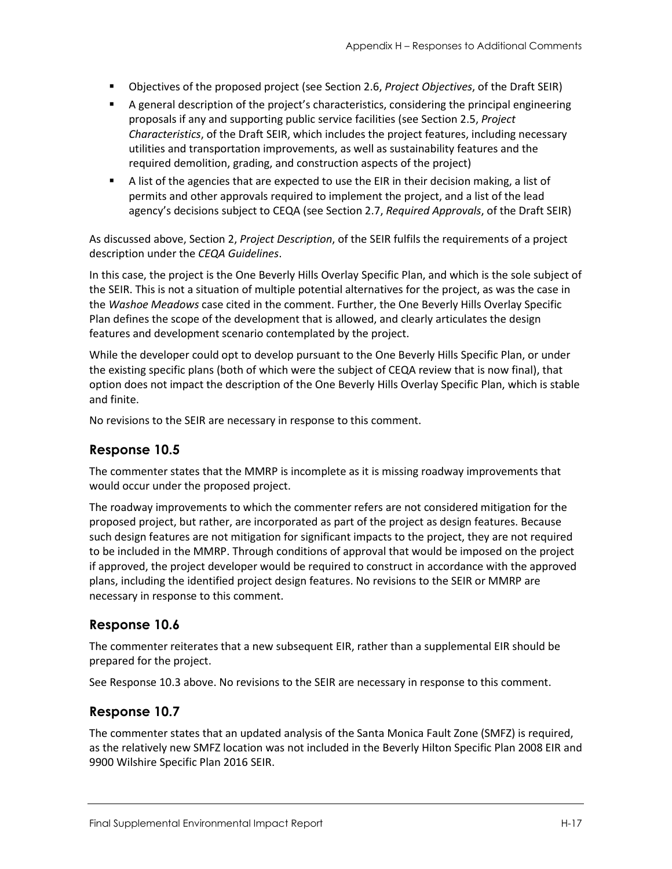- Objectives of the proposed project (see Section 2.6, *Project Objectives*, of the Draft SEIR)
- A general description of the project's characteristics, considering the principal engineering proposals if any and supporting public service facilities (see Section 2.5, *Project Characteristics*, of the Draft SEIR, which includes the project features, including necessary utilities and transportation improvements, as well as sustainability features and the required demolition, grading, and construction aspects of the project)
- A list of the agencies that are expected to use the EIR in their decision making, a list of permits and other approvals required to implement the project, and a list of the lead agency's decisions subject to CEQA (see Section 2.7, *Required Approvals*, of the Draft SEIR)

As discussed above, Section 2, *Project Description*, of the SEIR fulfils the requirements of a project description under the *CEQA Guidelines*.

In this case, the project is the One Beverly Hills Overlay Specific Plan, and which is the sole subject of the SEIR. This is not a situation of multiple potential alternatives for the project, as was the case in the *Washoe Meadows* case cited in the comment. Further, the One Beverly Hills Overlay Specific Plan defines the scope of the development that is allowed, and clearly articulates the design features and development scenario contemplated by the project.

While the developer could opt to develop pursuant to the One Beverly Hills Specific Plan, or under the existing specific plans (both of which were the subject of CEQA review that is now final), that option does not impact the description of the One Beverly Hills Overlay Specific Plan, which is stable and finite.

No revisions to the SEIR are necessary in response to this comment.

#### **Response 10.5**

The commenter states that the MMRP is incomplete as it is missing roadway improvements that would occur under the proposed project.

The roadway improvements to which the commenter refers are not considered mitigation for the proposed project, but rather, are incorporated as part of the project as design features. Because such design features are not mitigation for significant impacts to the project, they are not required to be included in the MMRP. Through conditions of approval that would be imposed on the project if approved, the project developer would be required to construct in accordance with the approved plans, including the identified project design features. No revisions to the SEIR or MMRP are necessary in response to this comment.

#### **Response 10.6**

The commenter reiterates that a new subsequent EIR, rather than a supplemental EIR should be prepared for the project.

See Response 10.3 above. No revisions to the SEIR are necessary in response to this comment.

#### **Response 10.7**

The commenter states that an updated analysis of the Santa Monica Fault Zone (SMFZ) is required, as the relatively new SMFZ location was not included in the Beverly Hilton Specific Plan 2008 EIR and 9900 Wilshire Specific Plan 2016 SEIR.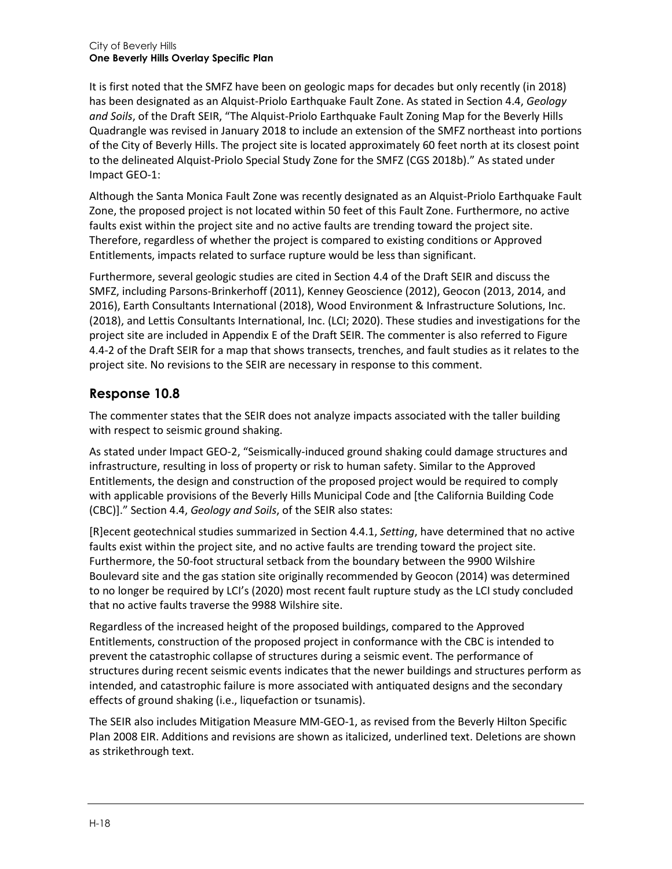It is first noted that the SMFZ have been on geologic maps for decades but only recently (in 2018) has been designated as an Alquist-Priolo Earthquake Fault Zone. As stated in Section 4.4, *Geology and Soils*, of the Draft SEIR, "The Alquist-Priolo Earthquake Fault Zoning Map for the Beverly Hills Quadrangle was revised in January 2018 to include an extension of the SMFZ northeast into portions of the City of Beverly Hills. The project site is located approximately 60 feet north at its closest point to the delineated Alquist-Priolo Special Study Zone for the SMFZ (CGS 2018b)." As stated under Impact GEO-1:

Although the Santa Monica Fault Zone was recently designated as an Alquist-Priolo Earthquake Fault Zone, the proposed project is not located within 50 feet of this Fault Zone. Furthermore, no active faults exist within the project site and no active faults are trending toward the project site. Therefore, regardless of whether the project is compared to existing conditions or Approved Entitlements, impacts related to surface rupture would be less than significant.

Furthermore, several geologic studies are cited in Section 4.4 of the Draft SEIR and discuss the SMFZ, including Parsons-Brinkerhoff (2011), Kenney Geoscience (2012), Geocon (2013, 2014, and 2016), Earth Consultants International (2018), Wood Environment & Infrastructure Solutions, Inc. (2018), and Lettis Consultants International, Inc. (LCI; 2020). These studies and investigations for the project site are included in Appendix E of the Draft SEIR. The commenter is also referred to Figure 4.4-2 of the Draft SEIR for a map that shows transects, trenches, and fault studies as it relates to the project site. No revisions to the SEIR are necessary in response to this comment.

## **Response 10.8**

The commenter states that the SEIR does not analyze impacts associated with the taller building with respect to seismic ground shaking.

As stated under Impact GEO-2, "Seismically-induced ground shaking could damage structures and infrastructure, resulting in loss of property or risk to human safety. Similar to the Approved Entitlements, the design and construction of the proposed project would be required to comply with applicable provisions of the Beverly Hills Municipal Code and [the California Building Code (CBC)]." Section 4.4, *Geology and Soils*, of the SEIR also states:

[R]ecent geotechnical studies summarized in Section 4.4.1, *Setting*, have determined that no active faults exist within the project site, and no active faults are trending toward the project site. Furthermore, the 50-foot structural setback from the boundary between the 9900 Wilshire Boulevard site and the gas station site originally recommended by Geocon (2014) was determined to no longer be required by LCI's (2020) most recent fault rupture study as the LCI study concluded that no active faults traverse the 9988 Wilshire site.

Regardless of the increased height of the proposed buildings, compared to the Approved Entitlements, construction of the proposed project in conformance with the CBC is intended to prevent the catastrophic collapse of structures during a seismic event. The performance of structures during recent seismic events indicates that the newer buildings and structures perform as intended, and catastrophic failure is more associated with antiquated designs and the secondary effects of ground shaking (i.e., liquefaction or tsunamis).

The SEIR also includes Mitigation Measure MM-GEO-1, as revised from the Beverly Hilton Specific Plan 2008 EIR. Additions and revisions are shown as italicized, underlined text. Deletions are shown as strikethrough text.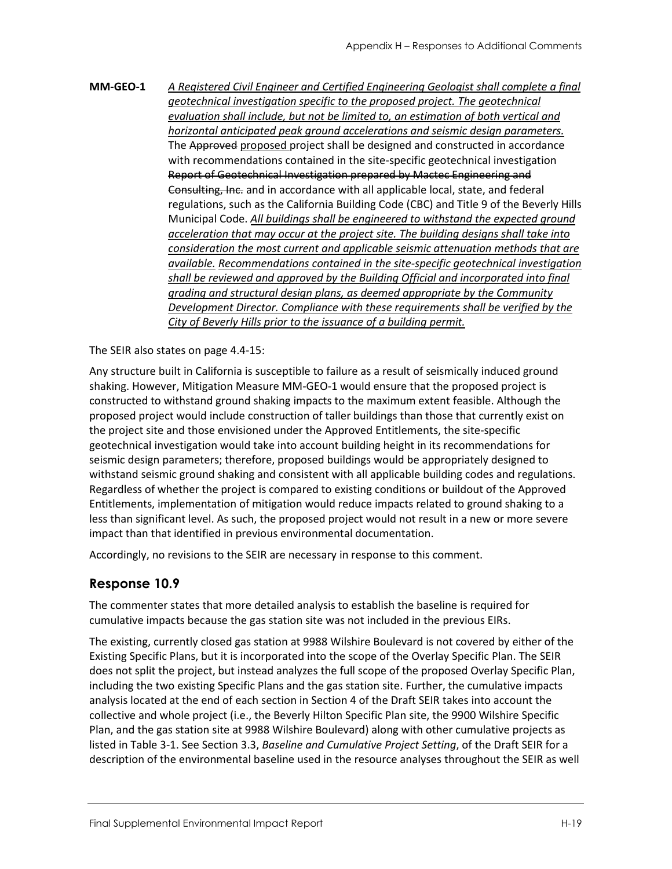**MM-GEO-1** *A Registered Civil Engineer and Certified Engineering Geologist shall complete a final geotechnical investigation specific to the proposed project. The geotechnical evaluation shall include, but not be limited to, an estimation of both vertical and horizontal anticipated peak ground accelerations and seismic design parameters.*  The Approved proposed project shall be designed and constructed in accordance with recommendations contained in the site-specific geotechnical investigation Report of Geotechnical Investigation prepared by Mactec Engineering and Consulting, Inc. and in accordance with all applicable local, state, and federal regulations, such as the California Building Code (CBC) and Title 9 of the Beverly Hills Municipal Code. *All buildings shall be engineered to withstand the expected ground acceleration that may occur at the project site. The building designs shall take into consideration the most current and applicable seismic attenuation methods that are available. Recommendations contained in the site-specific geotechnical investigation shall be reviewed and approved by the Building Official and incorporated into final grading and structural design plans, as deemed appropriate by the Community Development Director. Compliance with these requirements shall be verified by the City of Beverly Hills prior to the issuance of a building permit.*

The SEIR also states on page 4.4-15:

Any structure built in California is susceptible to failure as a result of seismically induced ground shaking. However, Mitigation Measure MM-GEO-1 would ensure that the proposed project is constructed to withstand ground shaking impacts to the maximum extent feasible. Although the proposed project would include construction of taller buildings than those that currently exist on the project site and those envisioned under the Approved Entitlements, the site-specific geotechnical investigation would take into account building height in its recommendations for seismic design parameters; therefore, proposed buildings would be appropriately designed to withstand seismic ground shaking and consistent with all applicable building codes and regulations. Regardless of whether the project is compared to existing conditions or buildout of the Approved Entitlements, implementation of mitigation would reduce impacts related to ground shaking to a less than significant level. As such, the proposed project would not result in a new or more severe impact than that identified in previous environmental documentation.

Accordingly, no revisions to the SEIR are necessary in response to this comment.

## **Response 10.9**

The commenter states that more detailed analysis to establish the baseline is required for cumulative impacts because the gas station site was not included in the previous EIRs.

The existing, currently closed gas station at 9988 Wilshire Boulevard is not covered by either of the Existing Specific Plans, but it is incorporated into the scope of the Overlay Specific Plan. The SEIR does not split the project, but instead analyzes the full scope of the proposed Overlay Specific Plan, including the two existing Specific Plans and the gas station site. Further, the cumulative impacts analysis located at the end of each section in Section 4 of the Draft SEIR takes into account the collective and whole project (i.e., the Beverly Hilton Specific Plan site, the 9900 Wilshire Specific Plan, and the gas station site at 9988 Wilshire Boulevard) along with other cumulative projects as listed in Table 3-1. See Section 3.3, *Baseline and Cumulative Project Setting*, of the Draft SEIR for a description of the environmental baseline used in the resource analyses throughout the SEIR as well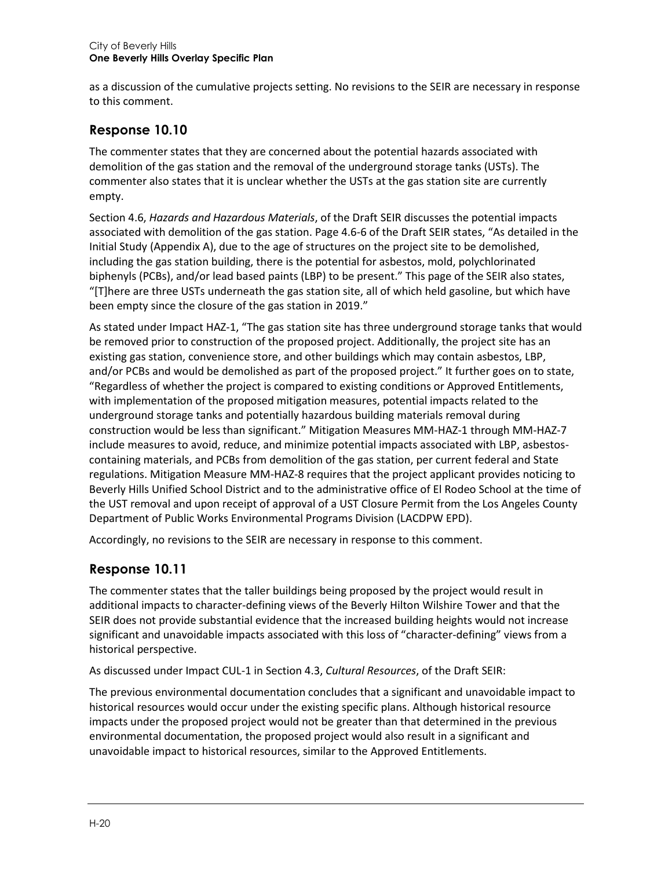as a discussion of the cumulative projects setting. No revisions to the SEIR are necessary in response to this comment.

## **Response 10.10**

The commenter states that they are concerned about the potential hazards associated with demolition of the gas station and the removal of the underground storage tanks (USTs). The commenter also states that it is unclear whether the USTs at the gas station site are currently empty.

Section 4.6, *Hazards and Hazardous Materials*, of the Draft SEIR discusses the potential impacts associated with demolition of the gas station. Page 4.6-6 of the Draft SEIR states, "As detailed in the Initial Study (Appendix A), due to the age of structures on the project site to be demolished, including the gas station building, there is the potential for asbestos, mold, polychlorinated biphenyls (PCBs), and/or lead based paints (LBP) to be present." This page of the SEIR also states, "[T]here are three USTs underneath the gas station site, all of which held gasoline, but which have been empty since the closure of the gas station in 2019."

As stated under Impact HAZ-1, "The gas station site has three underground storage tanks that would be removed prior to construction of the proposed project. Additionally, the project site has an existing gas station, convenience store, and other buildings which may contain asbestos, LBP, and/or PCBs and would be demolished as part of the proposed project." It further goes on to state, "Regardless of whether the project is compared to existing conditions or Approved Entitlements, with implementation of the proposed mitigation measures, potential impacts related to the underground storage tanks and potentially hazardous building materials removal during construction would be less than significant." Mitigation Measures MM-HAZ-1 through MM-HAZ-7 include measures to avoid, reduce, and minimize potential impacts associated with LBP, asbestoscontaining materials, and PCBs from demolition of the gas station, per current federal and State regulations. Mitigation Measure MM-HAZ-8 requires that the project applicant provides noticing to Beverly Hills Unified School District and to the administrative office of El Rodeo School at the time of the UST removal and upon receipt of approval of a UST Closure Permit from the Los Angeles County Department of Public Works Environmental Programs Division (LACDPW EPD).

Accordingly, no revisions to the SEIR are necessary in response to this comment.

## **Response 10.11**

The commenter states that the taller buildings being proposed by the project would result in additional impacts to character-defining views of the Beverly Hilton Wilshire Tower and that the SEIR does not provide substantial evidence that the increased building heights would not increase significant and unavoidable impacts associated with this loss of "character-defining" views from a historical perspective.

As discussed under Impact CUL-1 in Section 4.3, *Cultural Resources*, of the Draft SEIR:

The previous environmental documentation concludes that a significant and unavoidable impact to historical resources would occur under the existing specific plans. Although historical resource impacts under the proposed project would not be greater than that determined in the previous environmental documentation, the proposed project would also result in a significant and unavoidable impact to historical resources, similar to the Approved Entitlements.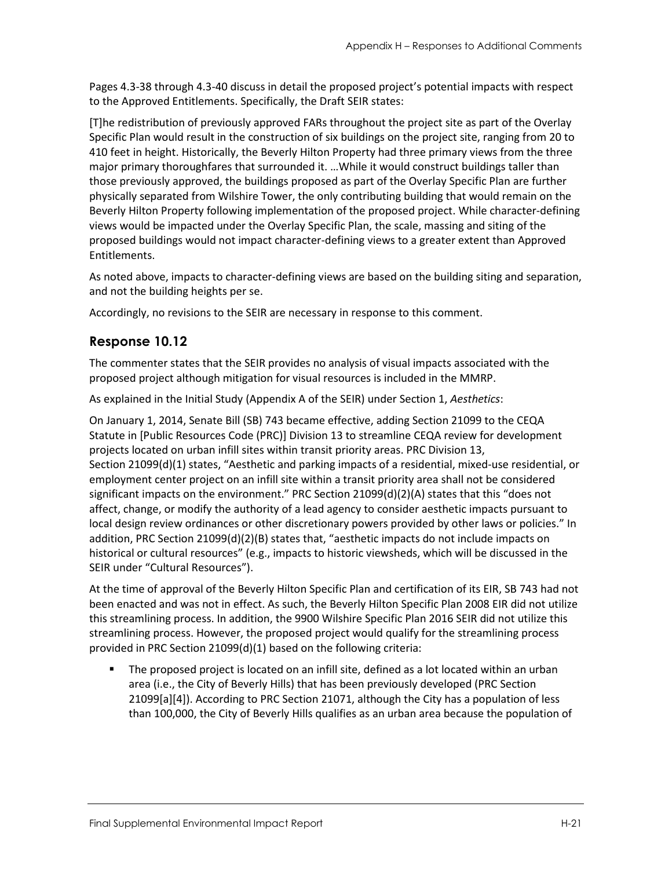Pages 4.3-38 through 4.3-40 discuss in detail the proposed project's potential impacts with respect to the Approved Entitlements. Specifically, the Draft SEIR states:

[T]he redistribution of previously approved FARs throughout the project site as part of the Overlay Specific Plan would result in the construction of six buildings on the project site, ranging from 20 to 410 feet in height. Historically, the Beverly Hilton Property had three primary views from the three major primary thoroughfares that surrounded it. …While it would construct buildings taller than those previously approved, the buildings proposed as part of the Overlay Specific Plan are further physically separated from Wilshire Tower, the only contributing building that would remain on the Beverly Hilton Property following implementation of the proposed project. While character-defining views would be impacted under the Overlay Specific Plan, the scale, massing and siting of the proposed buildings would not impact character-defining views to a greater extent than Approved Entitlements.

As noted above, impacts to character-defining views are based on the building siting and separation, and not the building heights per se.

Accordingly, no revisions to the SEIR are necessary in response to this comment.

## **Response 10.12**

The commenter states that the SEIR provides no analysis of visual impacts associated with the proposed project although mitigation for visual resources is included in the MMRP.

As explained in the Initial Study (Appendix A of the SEIR) under Section 1, *Aesthetics*:

On January 1, 2014, Senate Bill (SB) 743 became effective, adding Section 21099 to the CEQA Statute in [Public Resources Code (PRC)] Division 13 to streamline CEQA review for development projects located on urban infill sites within transit priority areas. PRC Division 13, Section 21099(d)(1) states, "Aesthetic and parking impacts of a residential, mixed-use residential, or employment center project on an infill site within a transit priority area shall not be considered significant impacts on the environment." PRC Section 21099(d)(2)(A) states that this "does not affect, change, or modify the authority of a lead agency to consider aesthetic impacts pursuant to local design review ordinances or other discretionary powers provided by other laws or policies." In addition, PRC Section 21099(d)(2)(B) states that, "aesthetic impacts do not include impacts on historical or cultural resources" (e.g., impacts to historic viewsheds, which will be discussed in the SEIR under "Cultural Resources").

At the time of approval of the Beverly Hilton Specific Plan and certification of its EIR, SB 743 had not been enacted and was not in effect. As such, the Beverly Hilton Specific Plan 2008 EIR did not utilize this streamlining process. In addition, the 9900 Wilshire Specific Plan 2016 SEIR did not utilize this streamlining process. However, the proposed project would qualify for the streamlining process provided in PRC Section 21099(d)(1) based on the following criteria:

 The proposed project is located on an infill site, defined as a lot located within an urban area (i.e., the City of Beverly Hills) that has been previously developed (PRC Section 21099[a][4]). According to PRC Section 21071, although the City has a population of less than 100,000, the City of Beverly Hills qualifies as an urban area because the population of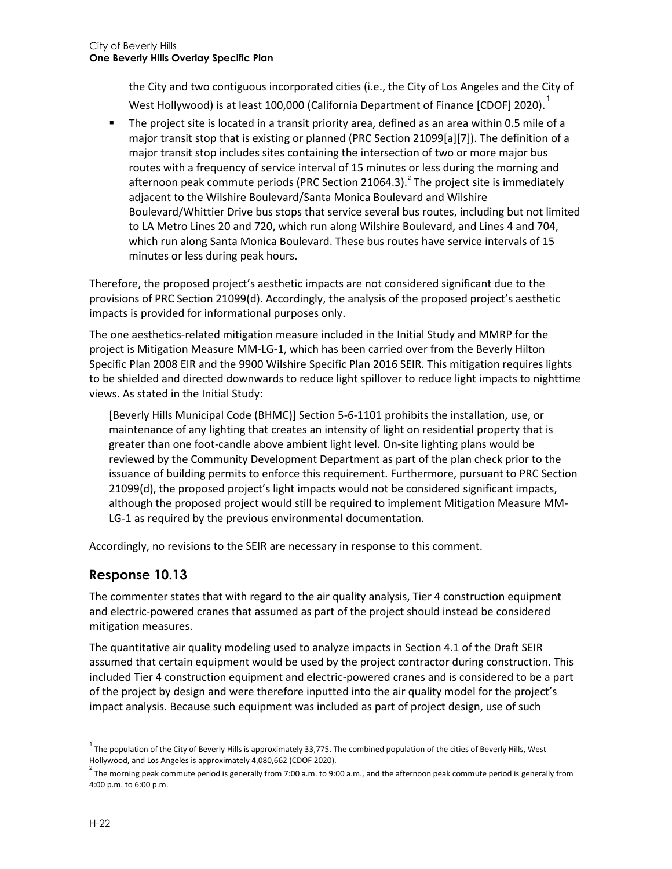the City and two contiguous incorporated cities (i.e., the City of Los Angeles and the City of West Hollywood) is at least [1](#page-21-0)00,000 (California Department of Finance [CDOF] 2020).<sup>1</sup>

 The project site is located in a transit priority area, defined as an area within 0.5 mile of a major transit stop that is existing or planned (PRC Section 21099[a][7]). The definition of a major transit stop includes sites containing the intersection of two or more major bus routes with a frequency of service interval of 15 minutes or less during the morning and afternoon peak commute periods (PRC Section [2](#page-21-1)1064.3). <sup>2</sup> The project site is immediately adjacent to the Wilshire Boulevard/Santa Monica Boulevard and Wilshire Boulevard/Whittier Drive bus stops that service several bus routes, including but not limited to LA Metro Lines 20 and 720, which run along Wilshire Boulevard, and Lines 4 and 704, which run along Santa Monica Boulevard. These bus routes have service intervals of 15 minutes or less during peak hours.

Therefore, the proposed project's aesthetic impacts are not considered significant due to the provisions of PRC Section 21099(d). Accordingly, the analysis of the proposed project's aesthetic impacts is provided for informational purposes only.

The one aesthetics-related mitigation measure included in the Initial Study and MMRP for the project is Mitigation Measure MM-LG-1, which has been carried over from the Beverly Hilton Specific Plan 2008 EIR and the 9900 Wilshire Specific Plan 2016 SEIR. This mitigation requires lights to be shielded and directed downwards to reduce light spillover to reduce light impacts to nighttime views. As stated in the Initial Study:

[Beverly Hills Municipal Code (BHMC)] Section 5-6-1101 prohibits the installation, use, or maintenance of any lighting that creates an intensity of light on residential property that is greater than one foot-candle above ambient light level. On-site lighting plans would be reviewed by the Community Development Department as part of the plan check prior to the issuance of building permits to enforce this requirement. Furthermore, pursuant to PRC Section 21099(d), the proposed project's light impacts would not be considered significant impacts, although the proposed project would still be required to implement Mitigation Measure MM-LG-1 as required by the previous environmental documentation.

Accordingly, no revisions to the SEIR are necessary in response to this comment.

## **Response 10.13**

The commenter states that with regard to the air quality analysis, Tier 4 construction equipment and electric-powered cranes that assumed as part of the project should instead be considered mitigation measures.

The quantitative air quality modeling used to analyze impacts in Section 4.1 of the Draft SEIR assumed that certain equipment would be used by the project contractor during construction. This included Tier 4 construction equipment and electric-powered cranes and is considered to be a part of the project by design and were therefore inputted into the air quality model for the project's impact analysis. Because such equipment was included as part of project design, use of such

<span id="page-21-0"></span><sup>1</sup> The population of the City of Beverly Hills is approximately 33,775. The combined population of the cities of Beverly Hills, West Hollywood, and Los Angeles is approximately 4,080,662 (CDOF 2020).

<span id="page-21-1"></span> $^2$  The morning peak commute period is generally from 7:00 a.m. to 9:00 a.m., and the afternoon peak commute period is generally from 4:00 p.m. to 6:00 p.m.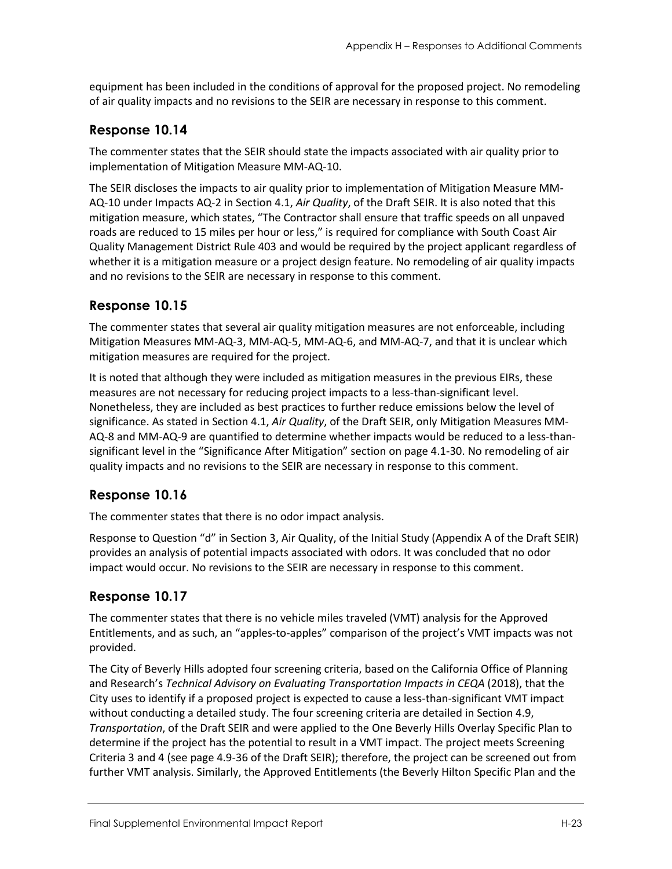equipment has been included in the conditions of approval for the proposed project. No remodeling of air quality impacts and no revisions to the SEIR are necessary in response to this comment.

#### **Response 10.14**

The commenter states that the SEIR should state the impacts associated with air quality prior to implementation of Mitigation Measure MM-AQ-10.

The SEIR discloses the impacts to air quality prior to implementation of Mitigation Measure MM-AQ-10 under Impacts AQ-2 in Section 4.1, *Air Quality*, of the Draft SEIR. It is also noted that this mitigation measure, which states, "The Contractor shall ensure that traffic speeds on all unpaved roads are reduced to 15 miles per hour or less," is required for compliance with South Coast Air Quality Management District Rule 403 and would be required by the project applicant regardless of whether it is a mitigation measure or a project design feature. No remodeling of air quality impacts and no revisions to the SEIR are necessary in response to this comment.

## **Response 10.15**

The commenter states that several air quality mitigation measures are not enforceable, including Mitigation Measures MM-AQ-3, MM-AQ-5, MM-AQ-6, and MM-AQ-7, and that it is unclear which mitigation measures are required for the project.

It is noted that although they were included as mitigation measures in the previous EIRs, these measures are not necessary for reducing project impacts to a less-than-significant level. Nonetheless, they are included as best practices to further reduce emissions below the level of significance. As stated in Section 4.1, *Air Quality*, of the Draft SEIR, only Mitigation Measures MM-AQ-8 and MM-AQ-9 are quantified to determine whether impacts would be reduced to a less-thansignificant level in the "Significance After Mitigation" section on page 4.1-30. No remodeling of air quality impacts and no revisions to the SEIR are necessary in response to this comment.

## **Response 10.16**

The commenter states that there is no odor impact analysis.

Response to Question "d" in Section 3, Air Quality, of the Initial Study (Appendix A of the Draft SEIR) provides an analysis of potential impacts associated with odors. It was concluded that no odor impact would occur. No revisions to the SEIR are necessary in response to this comment.

## **Response 10.17**

The commenter states that there is no vehicle miles traveled (VMT) analysis for the Approved Entitlements, and as such, an "apples-to-apples" comparison of the project's VMT impacts was not provided.

The City of Beverly Hills adopted four screening criteria, based on the California Office of Planning and Research's *Technical Advisory on Evaluating Transportation Impacts in CEQA* (2018), that the City uses to identify if a proposed project is expected to cause a less-than-significant VMT impact without conducting a detailed study. The four screening criteria are detailed in Section 4.9, *Transportation*, of the Draft SEIR and were applied to the One Beverly Hills Overlay Specific Plan to determine if the project has the potential to result in a VMT impact. The project meets Screening Criteria 3 and 4 (see page 4.9-36 of the Draft SEIR); therefore, the project can be screened out from further VMT analysis. Similarly, the Approved Entitlements (the Beverly Hilton Specific Plan and the